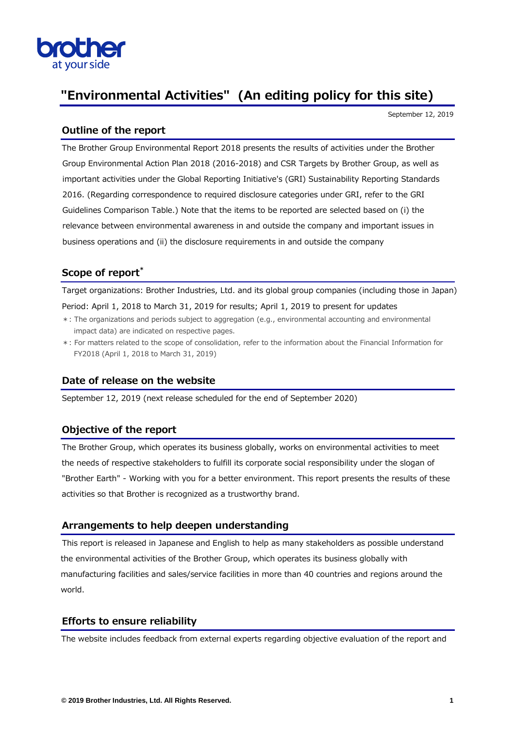

# **"Environmental Activities" (An editing policy for this site)**

September 12, 2019

### **Outline of the report**

The Brother Group Environmental Report 2018 presents the results of activities under the Brother Group Environmental Action Plan 2018 (2016-2018) and CSR Targets by Brother Group, as well as important activities under the Global Reporting Initiative's (GRI) Sustainability Reporting Standards 2016. (Regarding correspondence to required disclosure categories under GRI, refer to the GRI Guidelines Comparison Table.) Note that the items to be reported are selected based on (i) the relevance between environmental awareness in and outside the company and important issues in business operations and (ii) the disclosure requirements in and outside the company

## **Scope of report\***

Target organizations: Brother Industries, Ltd. and its global group companies (including those in Japan) Period: April 1, 2018 to March 31, 2019 for results; April 1, 2019 to present for updates

- \*: The organizations and periods subject to aggregation (e.g., environmental accounting and environmental impact data) are indicated on respective pages.
- \*: For matters related to the scope of consolidation, refer to the information about the Financial Information for FY2018 (April 1, 2018 to March 31, 2019)

#### **Date of release on the website**

September 12, 2019 (next release scheduled for the end of September 2020)

#### **Objective of the report**

The Brother Group, which operates its business globally, works on environmental activities to meet the needs of respective stakeholders to fulfill its corporate social responsibility under the slogan of "Brother Earth" - Working with you for a better environment. This report presents the results of these activities so that Brother is recognized as a trustworthy brand.

#### **Arrangements to help deepen understanding**

This report is released in Japanese and English to help as many stakeholders as possible understand the environmental activities of the Brother Group, which operates its business globally with manufacturing facilities and sales/service facilities in more than 40 countries and regions around the world.

#### **Efforts to ensure reliability**

The website includes feedback from external experts regarding objective evaluation of the report and